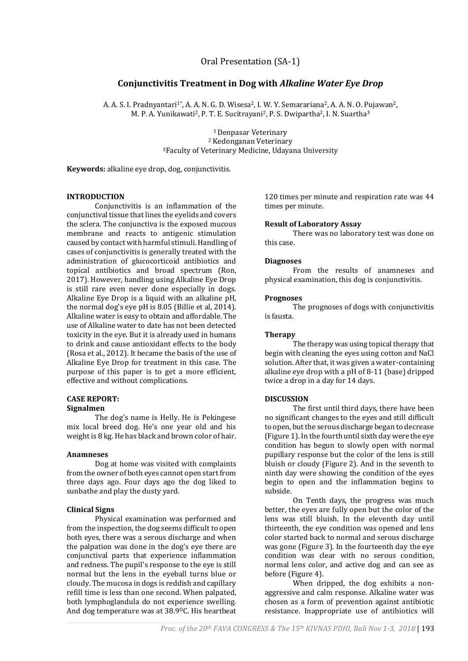Oral Presentation (SA-1)

## **Conjunctivitis Treatment in Dog with** *Alkaline Water Eye Drop*

A. A. S. I. Pradnyantari<sup>1\*</sup>, A. A. N. G. D. Wisesa<sup>2</sup>, I. W. Y. Semarariana<sup>2</sup>, A. A. N. O. Pujawan<sup>2</sup>, M. P. A. Yunikawati<sup>2</sup>, P. T. E. Sucitrayani<sup>2</sup>, P. S. Dwipartha<sup>2</sup>, I. N. Suartha<sup>3</sup>

> <sup>1</sup>Denpasar Veterinary <sup>2</sup> Kedonganan Veterinary <sup>3</sup>Faculty of Veterinary Medicine, Udayana University

**Keywords:** alkaline eye drop, dog, conjunctivitis.

#### **INTRODUCTION**

Conjunctivitis is an inflammation of the conjunctival tissue that lines the eyelids and covers the sclera. The conjunctiva is the exposed mucous membrane and reacts to antigenic stimulation caused by contact with harmful stimuli. Handling of cases of conjunctivitis is generally treated with the administration of glucocorticoid antibiotics and topical antibiotics and broad spectrum (Ron, 2017). However, handling using Alkaline Eye Drop is still rare even never done especially in dogs. Alkaline Eye Drop is a liquid with an alkaline pH, the normal dog's eye pH is 8.05 (Billie et al, 2014). Alkaline water is easy to obtain and affordable. The use of Alkaline water to date has not been detected toxicity in the eye. But it is already used in humans to drink and cause antioxidant effects to the body (Rosa et al., 2012). It became the basis of the use of Alkaline Eye Drop for treatment in this case. The purpose of this paper is to get a more efficient, effective and without complications.

# **CASE REPORT:**

## **Signalmen**

The dog's name is Helly. He is Pekingese mix local breed dog. He's one year old and his weight is 8 kg. He has black and brown color of hair.

#### **Anamneses**

Dog at home was visited with complaints from the owner of both eyes cannot open start from three days ago. Four days ago the dog liked to sunbathe and play the dusty yard.

#### **Clinical Signs**

Physical examination was performed and from the inspection, the dog seems difficult to open both eyes, there was a serous discharge and when the palpation was done in the dog's eye there are conjunctival parts that experience inflammation and redness. The pupil's response to the eye is still normal but the lens in the eyeball turns blue or cloudy. The mucosa in dogs is reddish and capillary refill time is less than one second. When palpated, both lymphoglandula do not experience swelling. And dog temperature was at 38.9°C. His heartbeat

120 times per minute and respiration rate was 44 times per minute.

#### **Result of Laboratory Assay**

There was no laboratory test was done on this case.

#### **Diagnoses**

From the results of anamneses and physical examination, this dog is conjunctivitis.

#### **Prognoses**

The prognoses of dogs with conjunctivitis is fausta.

### **Therapy**

The therapy was using topical therapy that begin with cleaning the eyes using cotton and NaCl solution. After that, it was given a water-containing alkaline eye drop with a pH of 8-11 (base) dripped twice a drop in a day for 14 days.

## **DISCUSSION**

The first until third days, there have been no significant changes to the eyes and still difficult to open, but the serous discharge began to decrease (Figure 1). In the fourth until sixth day were the eye condition has begun to slowly open with normal pupillary response but the color of the lens is still bluish or cloudy (Figure 2). And in the seventh to ninth day were showing the condition of the eyes begin to open and the inflammation begins to subside.

On Tenth days, the progress was much better, the eyes are fully open but the color of the lens was still bluish. In the eleventh day until thirteenth, the eye condition was opened and lens color started back to normal and serous discharge was gone (Figure 3). In the fourteenth day the eye condition was clear with no serous condition, normal lens color, and active dog and can see as before (Figure 4).

When dripped, the dog exhibits a nonaggressive and calm response. Alkaline water was chosen as a form of prevention against antibiotic resistance. Inappropriate use of antibiotics will